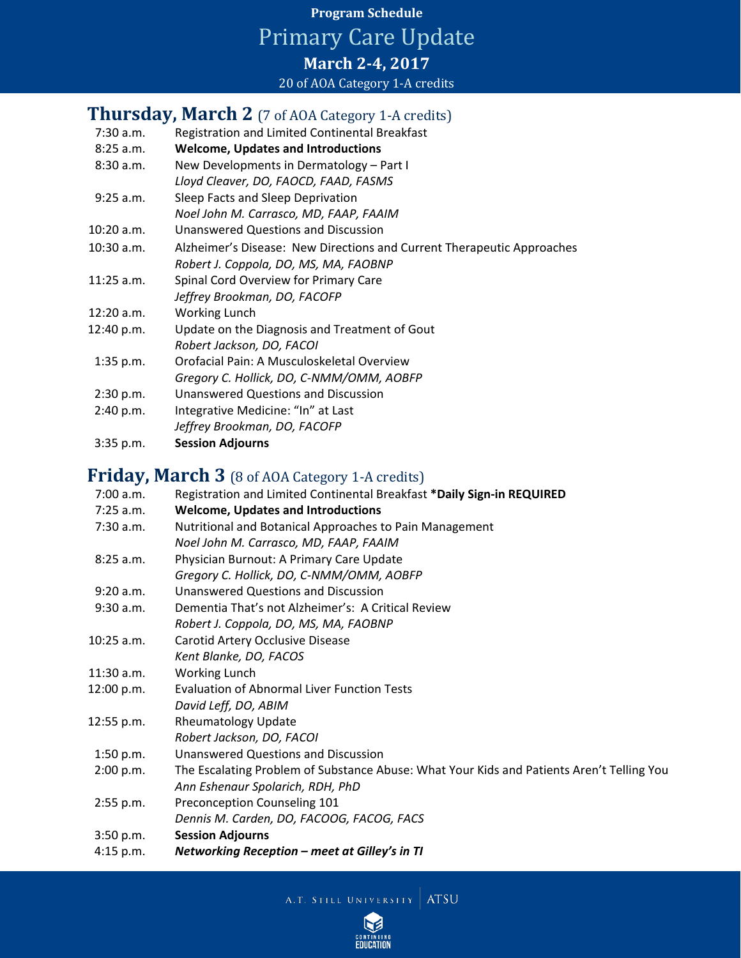## **Program Schedule** Primary Care Update **March 2-4, 2017** 20 of AOA Category 1-A credits

## **Thursday, March 2** (7 of AOA Category 1-A credits)

| 7:30 a.m.    | Registration and Limited Continental Breakfast                         |
|--------------|------------------------------------------------------------------------|
| 8:25 a.m.    | <b>Welcome, Updates and Introductions</b>                              |
| 8:30a.m.     | New Developments in Dermatology - Part I                               |
|              | Lloyd Cleaver, DO, FAOCD, FAAD, FASMS                                  |
| 9:25 a.m.    | Sleep Facts and Sleep Deprivation                                      |
|              | Noel John M. Carrasco, MD, FAAP, FAAIM                                 |
| $10:20$ a.m. | <b>Unanswered Questions and Discussion</b>                             |
| $10:30$ a.m. | Alzheimer's Disease: New Directions and Current Therapeutic Approaches |
|              | Robert J. Coppola, DO, MS, MA, FAOBNP                                  |
| $11:25$ a.m. | Spinal Cord Overview for Primary Care                                  |
|              | Jeffrey Brookman, DO, FACOFP                                           |
| $12:20$ a.m. | <b>Working Lunch</b>                                                   |
| 12:40 p.m.   | Update on the Diagnosis and Treatment of Gout                          |
|              | Robert Jackson, DO, FACOI                                              |
| $1:35$ p.m.  | Orofacial Pain: A Musculoskeletal Overview                             |
|              | Gregory C. Hollick, DO, C-NMM/OMM, AOBFP                               |
| 2:30 p.m.    | <b>Unanswered Questions and Discussion</b>                             |
| 2:40 p.m.    | Integrative Medicine: "In" at Last                                     |
|              | Jeffrey Brookman, DO, FACOFP                                           |
| 3:35 p.m.    | <b>Session Adjourns</b>                                                |

## **Friday, March 3** (8 of AOA Category 1-A credits)

| 7:00 a.m.    | Registration and Limited Continental Breakfast *Daily Sign-in REQUIRED                    |
|--------------|-------------------------------------------------------------------------------------------|
| $7:25$ a.m.  | <b>Welcome, Updates and Introductions</b>                                                 |
| 7:30 a.m.    | Nutritional and Botanical Approaches to Pain Management                                   |
|              | Noel John M. Carrasco, MD, FAAP, FAAIM                                                    |
| 8:25 a.m.    | Physician Burnout: A Primary Care Update                                                  |
|              | Gregory C. Hollick, DO, C-NMM/OMM, AOBFP                                                  |
| 9:20 a.m.    | <b>Unanswered Questions and Discussion</b>                                                |
| 9:30 a.m.    | Dementia That's not Alzheimer's: A Critical Review                                        |
|              | Robert J. Coppola, DO, MS, MA, FAOBNP                                                     |
| $10:25$ a.m. | Carotid Artery Occlusive Disease                                                          |
|              | Kent Blanke, DO, FACOS                                                                    |
| $11:30$ a.m. | Working Lunch                                                                             |
| 12:00 p.m.   | <b>Evaluation of Abnormal Liver Function Tests</b>                                        |
|              | David Leff, DO, ABIM                                                                      |
| 12:55 p.m.   | <b>Rheumatology Update</b>                                                                |
|              | Robert Jackson, DO, FACOI                                                                 |
| 1:50 p.m.    | <b>Unanswered Questions and Discussion</b>                                                |
| 2:00 p.m.    | The Escalating Problem of Substance Abuse: What Your Kids and Patients Aren't Telling You |
|              | Ann Eshenaur Spolarich, RDH, PhD                                                          |
| 2:55 p.m.    | Preconception Counseling 101                                                              |
|              | Dennis M. Carden, DO, FACOOG, FACOG, FACS                                                 |
| 3:50 p.m.    | <b>Session Adjourns</b>                                                                   |
| 4:15 p.m.    | Networking Reception – meet at Gilley's in TI                                             |

A.T. STILL UNIVERSITY ATSU